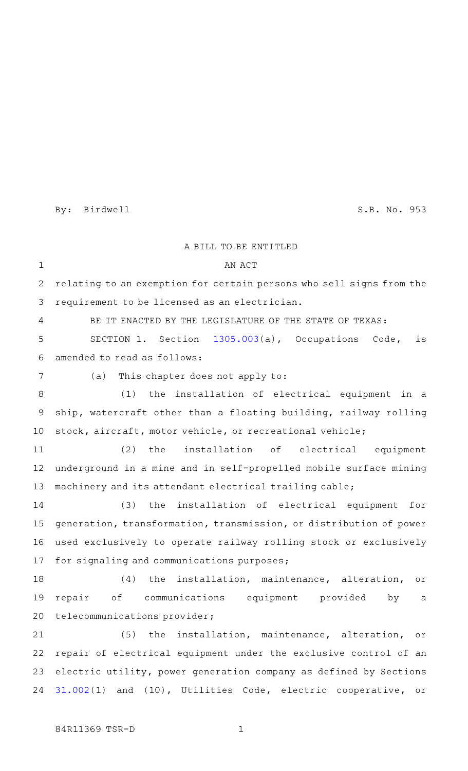By: Birdwell S.B. No. 953

A BILL TO BE ENTITLED AN ACT relating to an exemption for certain persons who sell signs from the requirement to be licensed as an electrician. BE IT ENACTED BY THE LEGISLATURE OF THE STATE OF TEXAS: SECTION 1. Section [1305.003\(](http://www.statutes.legis.state.tx.us/GetStatute.aspx?Code=OC&Value=1305.003&Date=3/4/2015)a), Occupations Code, is amended to read as follows: (a) This chapter does not apply to: (1) the installation of electrical equipment in a ship, watercraft other than a floating building, railway rolling stock, aircraft, motor vehicle, or recreational vehicle; (2) the installation of electrical equipment underground in a mine and in self-propelled mobile surface mining machinery and its attendant electrical trailing cable; (3) the installation of electrical equipment for generation, transformation, transmission, or distribution of power used exclusively to operate railway rolling stock or exclusively for signaling and communications purposes; (4) the installation, maintenance, alteration, or repair of communications equipment provided by a telecommunications provider; (5) the installation, maintenance, alteration, or repair of electrical equipment under the exclusive control of an electric utility, power generation company as defined by Sections [31.002](http://www.statutes.legis.state.tx.us/GetStatute.aspx?Code=UT&Value=31.002&Date=3/4/2015)(1) and (10), Utilities Code, electric cooperative, or 1 2 3 4 5 6 7 8 9 10 11 12 13 14 15 16 17 18 19 20 21 22 23 24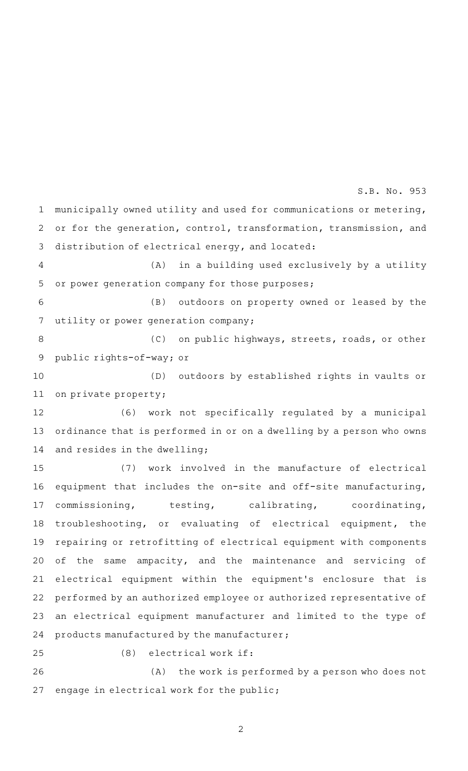municipally owned utility and used for communications or metering, or for the generation, control, transformation, transmission, and distribution of electrical energy, and located: (A) in a building used exclusively by a utility or power generation company for those purposes; (B) outdoors on property owned or leased by the utility or power generation company; (C) on public highways, streets, roads, or other public rights-of-way; or (D) outdoors by established rights in vaults or on private property; (6) work not specifically regulated by a municipal ordinance that is performed in or on a dwelling by a person who owns and resides in the dwelling; (7) work involved in the manufacture of electrical equipment that includes the on-site and off-site manufacturing, commissioning, testing, calibrating, coordinating, troubleshooting, or evaluating of electrical equipment, the repairing or retrofitting of electrical equipment with components of the same ampacity, and the maintenance and servicing of electrical equipment within the equipment's enclosure that is performed by an authorized employee or authorized representative of an electrical equipment manufacturer and limited to the type of products manufactured by the manufacturer;  $(8)$  electrical work if: 1 2 3 4 5 6 7 8 9 10 11 12 13 14 15 16 17 18 19 20 21 22 23 24 25

S.B. No. 953

(A) the work is performed by a person who does not engage in electrical work for the public; 26 27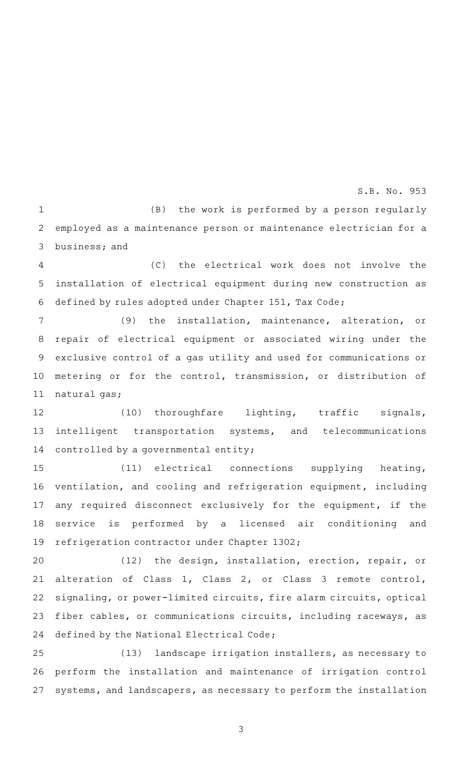## S.B. No. 953

 $(B)$  the work is performed by a person regularly employed as a maintenance person or maintenance electrician for a business; and 1 2 3

(C) the electrical work does not involve the installation of electrical equipment during new construction as defined by rules adopted under Chapter 151, Tax Code; 4 5 6

(9) the installation, maintenance, alteration, or repair of electrical equipment or associated wiring under the exclusive control of a gas utility and used for communications or metering or for the control, transmission, or distribution of natural gas; 7 8 9 10 11

(10) thoroughfare lighting, traffic signals, intelligent transportation systems, and telecommunications controlled by a governmental entity; 12 13 14

(11) electrical connections supplying heating, ventilation, and cooling and refrigeration equipment, including any required disconnect exclusively for the equipment, if the service is performed by a licensed air conditioning and refrigeration contractor under Chapter 1302; 15 16 17 18 19

(12) the design, installation, erection, repair, or alteration of Class 1, Class 2, or Class 3 remote control, signaling, or power-limited circuits, fire alarm circuits, optical fiber cables, or communications circuits, including raceways, as defined by the National Electrical Code; 20 21 22 23 24

(13) landscape irrigation installers, as necessary to perform the installation and maintenance of irrigation control systems, and landscapers, as necessary to perform the installation 25 26 27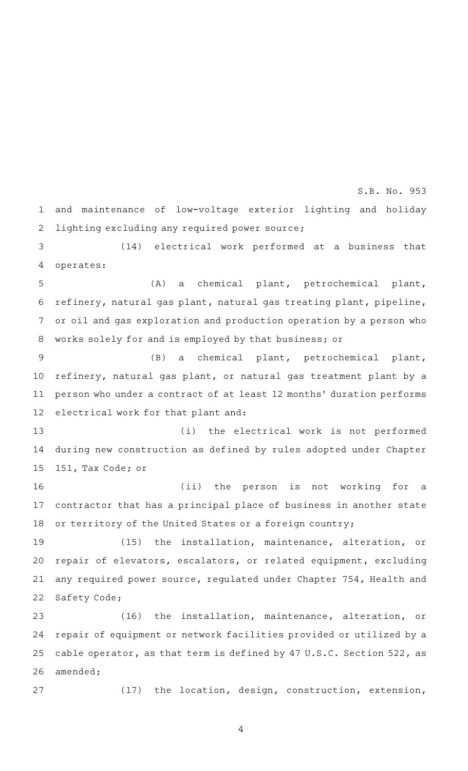and maintenance of low-voltage exterior lighting and holiday lighting excluding any required power source; 1 2

S.B. No. 953

(14) electrical work performed at a business that operates: 3 4

(A) a chemical plant, petrochemical plant, refinery, natural gas plant, natural gas treating plant, pipeline, or oil and gas exploration and production operation by a person who works solely for and is employed by that business; or 5 6 7 8

(B) a chemical plant, petrochemical plant, refinery, natural gas plant, or natural gas treatment plant by a person who under a contract of at least 12 months' duration performs electrical work for that plant and: 9 10 11 12

(i) the electrical work is not performed during new construction as defined by rules adopted under Chapter 151, Tax Code; or 13 14 15

(ii) the person is not working for a contractor that has a principal place of business in another state or territory of the United States or a foreign country; 16 17 18

(15) the installation, maintenance, alteration, or repair of elevators, escalators, or related equipment, excluding any required power source, regulated under Chapter 754, Health and Safety Code; 19 20 21 22

(16) the installation, maintenance, alteration, or repair of equipment or network facilities provided or utilized by a cable operator, as that term is defined by 47 U.S.C. Section 522, as amended; 23 24 25 26

27

(17) the location, design, construction, extension,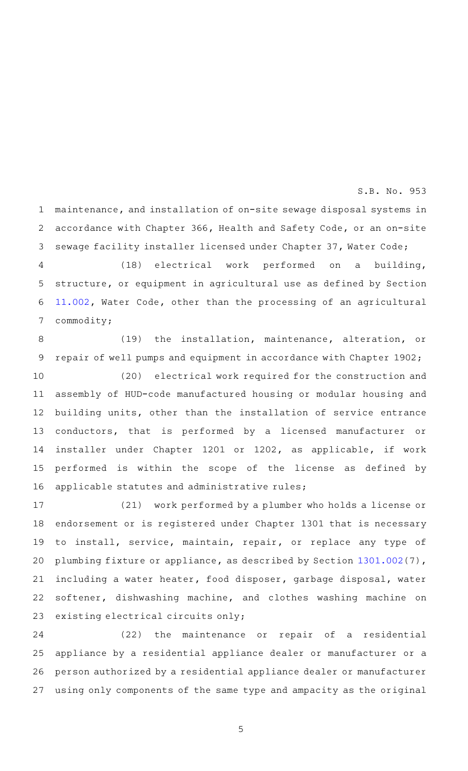S.B. No. 953

maintenance, and installation of on-site sewage disposal systems in accordance with Chapter 366, Health and Safety Code, or an on-site sewage facility installer licensed under Chapter 37, Water Code; 1 2 3

(18) electrical work performed on a building, structure, or equipment in agricultural use as defined by Section [11.002](http://www.statutes.legis.state.tx.us/GetStatute.aspx?Code=WA&Value=11.002&Date=3/4/2015), Water Code, other than the processing of an agricultural commodity; 4 5 6 7

(19) the installation, maintenance, alteration, or repair of well pumps and equipment in accordance with Chapter 1902; 8 9

(20) electrical work required for the construction and assembly of HUD-code manufactured housing or modular housing and building units, other than the installation of service entrance conductors, that is performed by a licensed manufacturer or installer under Chapter 1201 or 1202, as applicable, if work performed is within the scope of the license as defined by applicable statutes and administrative rules; 10 11 12 13 14 15 16

(21) work performed by a plumber who holds a license or endorsement or is registered under Chapter 1301 that is necessary to install, service, maintain, repair, or replace any type of plumbing fixture or appliance, as described by Section [1301.002\(](http://www.statutes.legis.state.tx.us/GetStatute.aspx?Code=OC&Value=1301.002&Date=3/4/2015)7), including a water heater, food disposer, garbage disposal, water softener, dishwashing machine, and clothes washing machine on existing electrical circuits only; 17 18 19 20 21 22 23

 $(22)$  the maintenance or repair of a residential appliance by a residential appliance dealer or manufacturer or a person authorized by a residential appliance dealer or manufacturer using only components of the same type and ampacity as the original 24 25 26 27